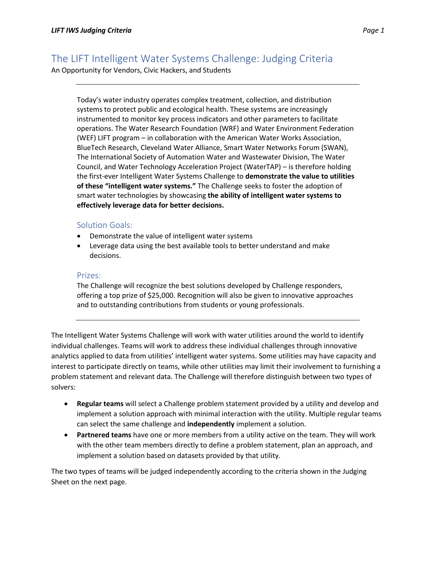An Opportunity for Vendors, Civic Hackers, and Students

Today's water industry operates complex treatment, collection, and distribution systems to protect public and ecological health. These systems are increasingly instrumented to monitor key process indicators and other parameters to facilitate operations. The Water Research Foundation (WRF) and Water Environment Federation (WEF) LIFT program – in collaboration with the American Water Works Association, BlueTech Research, Cleveland Water Alliance, Smart Water Networks Forum (SWAN), The International Society of Automation Water and Wastewater Division, The Water Council, and Water Technology Acceleration Project (WaterTAP) – is therefore holding the first-ever Intelligent Water Systems Challenge to **demonstrate the value to utilities of these "intelligent water systems."** The Challenge seeks to foster the adoption of smart water technologies by showcasing **the ability of intelligent water systems to effectively leverage data for better decisions.**

## Solution Goals:

- Demonstrate the value of intelligent water systems
- Leverage data using the best available tools to better understand and make decisions.

## Prizes:

The Challenge will recognize the best solutions developed by Challenge responders, offering a top prize of \$25,000. Recognition will also be given to innovative approaches and to outstanding contributions from students or young professionals.

The Intelligent Water Systems Challenge will work with water utilities around the world to identify individual challenges. Teams will work to address these individual challenges through innovative analytics applied to data from utilities' intelligent water systems. Some utilities may have capacity and interest to participate directly on teams, while other utilities may limit their involvement to furnishing a problem statement and relevant data. The Challenge will therefore distinguish between two types of solvers:

- **Regular teams** will select a Challenge problem statement provided by a utility and develop and implement a solution approach with minimal interaction with the utility. Multiple regular teams can select the same challenge and **independently** implement a solution.
- **Partnered teams** have one or more members from a utility active on the team. They will work with the other team members directly to define a problem statement, plan an approach, and implement a solution based on datasets provided by that utility.

The two types of teams will be judged independently according to the criteria shown in the Judging Sheet on the next page.